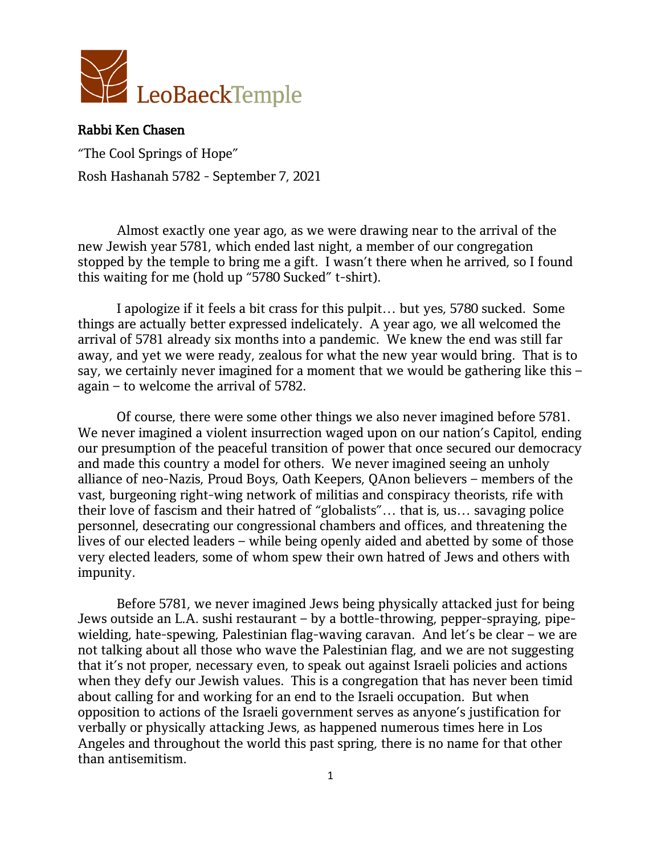

"The Cool Springs of Hope" Rosh Hashanah 5782 - September 7, 2021

Almost exactly one year ago, as we were drawing near to the arrival of the new Jewish year 5781, which ended last night, a member of our congregation stopped by the temple to bring me a gift. I wasn't there when he arrived, so I found this waiting for me (hold up "5780 Sucked" t-shirt).

I apologize if it feels a bit crass for this pulpit… but yes, 5780 sucked. Some things are actually better expressed indelicately. A year ago, we all welcomed the arrival of 5781 already six months into a pandemic. We knew the end was still far away, and yet we were ready, zealous for what the new year would bring. That is to say, we certainly never imagined for a moment that we would be gathering like this – again – to welcome the arrival of 5782.

Of course, there were some other things we also never imagined before 5781. We never imagined a violent insurrection waged upon on our nation's Capitol, ending our presumption of the peaceful transition of power that once secured our democracy and made this country a model for others. We never imagined seeing an unholy alliance of neo-Nazis, Proud Boys, Oath Keepers, QAnon believers – members of the vast, burgeoning right-wing network of militias and conspiracy theorists, rife with their love of fascism and their hatred of "globalists"… that is, us… savaging police personnel, desecrating our congressional chambers and offices, and threatening the lives of our elected leaders – while being openly aided and abetted by some of those very elected leaders, some of whom spew their own hatred of Jews and others with impunity.

Before 5781, we never imagined Jews being physically attacked just for being Jews outside an L.A. sushi restaurant – by a bottle-throwing, pepper-spraying, pipewielding, hate-spewing, Palestinian flag-waving caravan. And let's be clear – we are not talking about all those who wave the Palestinian flag, and we are not suggesting that it's not proper, necessary even, to speak out against Israeli policies and actions when they defy our Jewish values. This is a congregation that has never been timid about calling for and working for an end to the Israeli occupation. But when opposition to actions of the Israeli government serves as anyone's justification for verbally or physically attacking Jews, as happened numerous times here in Los Angeles and throughout the world this past spring, there is no name for that other than antisemitism.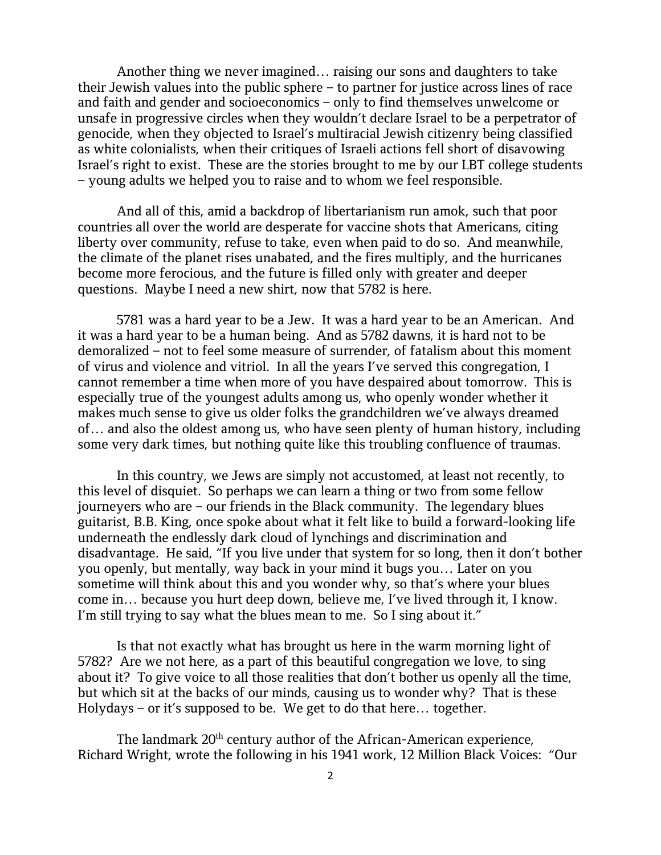Another thing we never imagined… raising our sons and daughters to take their Jewish values into the public sphere – to partner for justice across lines of race and faith and gender and socioeconomics – only to find themselves unwelcome or unsafe in progressive circles when they wouldn't declare Israel to be a perpetrator of genocide, when they objected to Israel's multiracial Jewish citizenry being classified as white colonialists, when their critiques of Israeli actions fell short of disavowing Israel's right to exist. These are the stories brought to me by our LBT college students – young adults we helped you to raise and to whom we feel responsible.

And all of this, amid a backdrop of libertarianism run amok, such that poor countries all over the world are desperate for vaccine shots that Americans, citing liberty over community, refuse to take, even when paid to do so. And meanwhile, the climate of the planet rises unabated, and the fires multiply, and the hurricanes become more ferocious, and the future is filled only with greater and deeper questions. Maybe I need a new shirt, now that 5782 is here.

5781 was a hard year to be a Jew. It was a hard year to be an American. And it was a hard year to be a human being. And as 5782 dawns, it is hard not to be demoralized – not to feel some measure of surrender, of fatalism about this moment of virus and violence and vitriol. In all the years I've served this congregation, I cannot remember a time when more of you have despaired about tomorrow. This is especially true of the youngest adults among us, who openly wonder whether it makes much sense to give us older folks the grandchildren we've always dreamed of… and also the oldest among us, who have seen plenty of human history, including some very dark times, but nothing quite like this troubling confluence of traumas.

In this country, we Jews are simply not accustomed, at least not recently, to this level of disquiet. So perhaps we can learn a thing or two from some fellow journeyers who are – our friends in the Black community. The legendary blues guitarist, B.B. King, once spoke about what it felt like to build a forward-looking life underneath the endlessly dark cloud of lynchings and discrimination and disadvantage. He said, "If you live under that system for so long, then it don't bother you openly, but mentally, way back in your mind it bugs you… Later on you sometime will think about this and you wonder why, so that's where your blues come in… because you hurt deep down, believe me, I've lived through it, I know. I'm still trying to say what the blues mean to me. So I sing about it."

Is that not exactly what has brought us here in the warm morning light of 5782? Are we not here, as a part of this beautiful congregation we love, to sing about it? To give voice to all those realities that don't bother us openly all the time, but which sit at the backs of our minds, causing us to wonder why? That is these Holydays – or it's supposed to be. We get to do that here… together.

The landmark 20<sup>th</sup> century author of the African-American experience, Richard Wright, wrote the following in his 1941 work, 12 Million Black Voices: "Our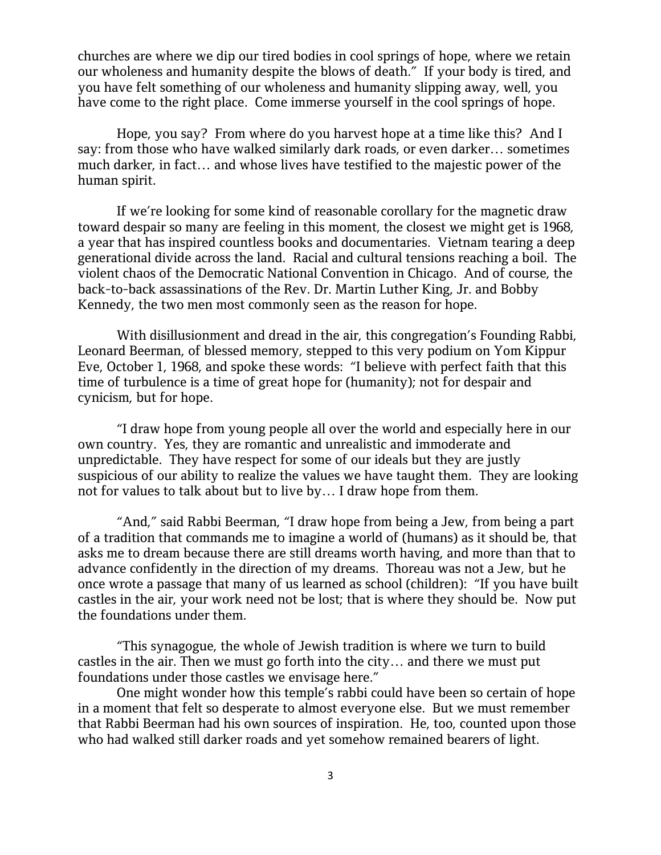churches are where we dip our tired bodies in cool springs of hope, where we retain our wholeness and humanity despite the blows of death." If your body is tired, and you have felt something of our wholeness and humanity slipping away, well, you have come to the right place. Come immerse yourself in the cool springs of hope.

Hope, you say? From where do you harvest hope at a time like this? And I say: from those who have walked similarly dark roads, or even darker… sometimes much darker, in fact… and whose lives have testified to the majestic power of the human spirit.

If we're looking for some kind of reasonable corollary for the magnetic draw toward despair so many are feeling in this moment, the closest we might get is 1968, a year that has inspired countless books and documentaries. Vietnam tearing a deep generational divide across the land. Racial and cultural tensions reaching a boil. The violent chaos of the Democratic National Convention in Chicago. And of course, the back-to-back assassinations of the Rev. Dr. Martin Luther King, Jr. and Bobby Kennedy, the two men most commonly seen as the reason for hope.

With disillusionment and dread in the air, this congregation's Founding Rabbi, Leonard Beerman, of blessed memory, stepped to this very podium on Yom Kippur Eve, October 1, 1968, and spoke these words: "I believe with perfect faith that this time of turbulence is a time of great hope for (humanity); not for despair and cynicism, but for hope.

"I draw hope from young people all over the world and especially here in our own country. Yes, they are romantic and unrealistic and immoderate and unpredictable. They have respect for some of our ideals but they are justly suspicious of our ability to realize the values we have taught them. They are looking not for values to talk about but to live by… I draw hope from them.

"And," said Rabbi Beerman, "I draw hope from being a Jew, from being a part of a tradition that commands me to imagine a world of (humans) as it should be, that asks me to dream because there are still dreams worth having, and more than that to advance confidently in the direction of my dreams. Thoreau was not a Jew, but he once wrote a passage that many of us learned as school (children): "If you have built castles in the air, your work need not be lost; that is where they should be. Now put the foundations under them.

"This synagogue, the whole of Jewish tradition is where we turn to build castles in the air. Then we must go forth into the city… and there we must put foundations under those castles we envisage here."

One might wonder how this temple's rabbi could have been so certain of hope in a moment that felt so desperate to almost everyone else. But we must remember that Rabbi Beerman had his own sources of inspiration. He, too, counted upon those who had walked still darker roads and yet somehow remained bearers of light.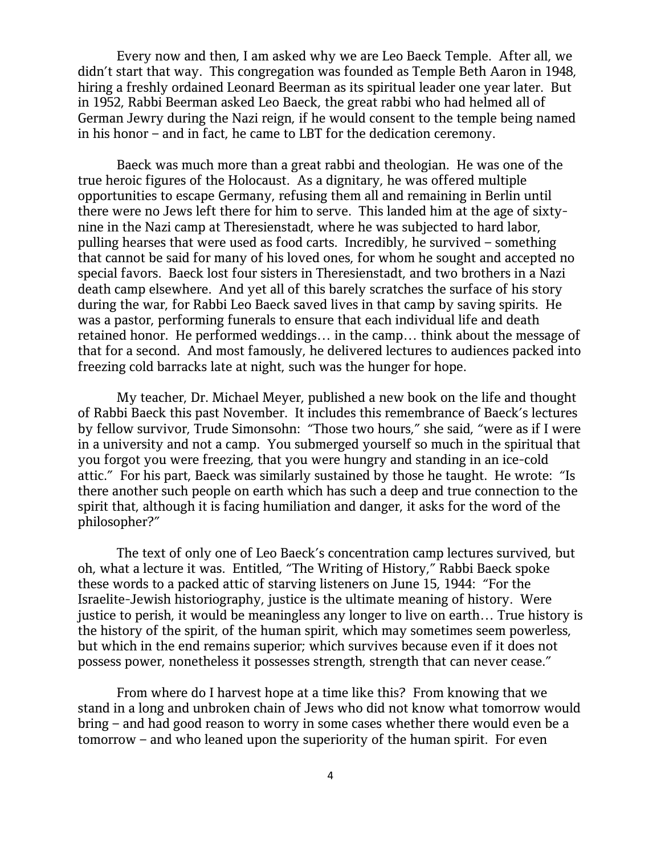Every now and then, I am asked why we are Leo Baeck Temple. After all, we didn't start that way. This congregation was founded as Temple Beth Aaron in 1948, hiring a freshly ordained Leonard Beerman as its spiritual leader one year later. But in 1952, Rabbi Beerman asked Leo Baeck, the great rabbi who had helmed all of German Jewry during the Nazi reign, if he would consent to the temple being named in his honor – and in fact, he came to LBT for the dedication ceremony.

Baeck was much more than a great rabbi and theologian. He was one of the true heroic figures of the Holocaust. As a dignitary, he was offered multiple opportunities to escape Germany, refusing them all and remaining in Berlin until there were no Jews left there for him to serve. This landed him at the age of sixtynine in the Nazi camp at Theresienstadt, where he was subjected to hard labor, pulling hearses that were used as food carts. Incredibly, he survived – something that cannot be said for many of his loved ones, for whom he sought and accepted no special favors. Baeck lost four sisters in Theresienstadt, and two brothers in a Nazi death camp elsewhere. And yet all of this barely scratches the surface of his story during the war, for Rabbi Leo Baeck saved lives in that camp by saving spirits. He was a pastor, performing funerals to ensure that each individual life and death retained honor. He performed weddings… in the camp… think about the message of that for a second. And most famously, he delivered lectures to audiences packed into freezing cold barracks late at night, such was the hunger for hope.

My teacher, Dr. Michael Meyer, published a new book on the life and thought of Rabbi Baeck this past November. It includes this remembrance of Baeck's lectures by fellow survivor, Trude Simonsohn: "Those two hours," she said, "were as if I were in a university and not a camp. You submerged yourself so much in the spiritual that you forgot you were freezing, that you were hungry and standing in an ice-cold attic." For his part, Baeck was similarly sustained by those he taught. He wrote: "Is there another such people on earth which has such a deep and true connection to the spirit that, although it is facing humiliation and danger, it asks for the word of the philosopher?"

The text of only one of Leo Baeck's concentration camp lectures survived, but oh, what a lecture it was. Entitled, "The Writing of History," Rabbi Baeck spoke these words to a packed attic of starving listeners on June 15, 1944: "For the Israelite-Jewish historiography, justice is the ultimate meaning of history. Were justice to perish, it would be meaningless any longer to live on earth… True history is the history of the spirit, of the human spirit, which may sometimes seem powerless, but which in the end remains superior; which survives because even if it does not possess power, nonetheless it possesses strength, strength that can never cease."

From where do I harvest hope at a time like this? From knowing that we stand in a long and unbroken chain of Jews who did not know what tomorrow would bring – and had good reason to worry in some cases whether there would even be a tomorrow – and who leaned upon the superiority of the human spirit. For even